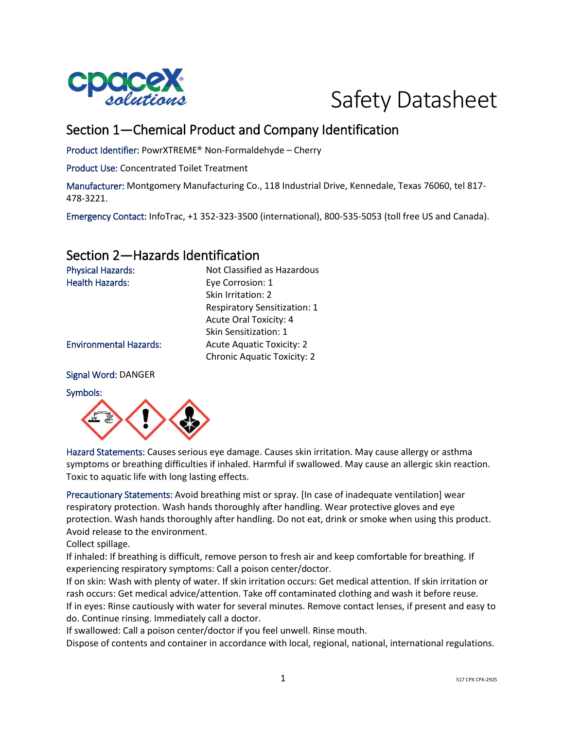



# Section 1—Chemical Product and Company Identification

Product Identifier: PowrXTREME® Non-Formaldehyde – Cherry

Product Use: Concentrated Toilet Treatment

Manufacturer: Montgomery Manufacturing Co., 118 Industrial Drive, Kennedale, Texas 76060, tel 817- 478-3221.

Emergency Contact: InfoTrac, +1 352-323-3500 (international), 800-535-5053 (toll free US and Canada).

# Section 2—Hazards Identification

| <b>Physical Hazards:</b>      | Not Classified as Hazardous         |
|-------------------------------|-------------------------------------|
| <b>Health Hazards:</b>        | Eye Corrosion: 1                    |
|                               | Skin Irritation: 2                  |
|                               | <b>Respiratory Sensitization: 1</b> |
|                               | <b>Acute Oral Toxicity: 4</b>       |
|                               | Skin Sensitization: 1               |
| <b>Environmental Hazards:</b> | <b>Acute Aquatic Toxicity: 2</b>    |
|                               | <b>Chronic Aquatic Toxicity: 2</b>  |
|                               |                                     |

#### Signal Word: DANGER

#### Symbols:



Hazard Statements: Causes serious eye damage. Causes skin irritation. May cause allergy or asthma symptoms or breathing difficulties if inhaled. Harmful if swallowed. May cause an allergic skin reaction. Toxic to aquatic life with long lasting effects.

Precautionary Statements: Avoid breathing mist or spray. [In case of inadequate ventilation] wear respiratory protection. Wash hands thoroughly after handling. Wear protective gloves and eye protection. Wash hands thoroughly after handling. Do not eat, drink or smoke when using this product. Avoid release to the environment.

Collect spillage.

If inhaled: If breathing is difficult, remove person to fresh air and keep comfortable for breathing. If experiencing respiratory symptoms: Call a poison center/doctor.

If on skin: Wash with plenty of water. If skin irritation occurs: Get medical attention. If skin irritation or rash occurs: Get medical advice/attention. Take off contaminated clothing and wash it before reuse. If in eyes: Rinse cautiously with water for several minutes. Remove contact lenses, if present and easy to do. Continue rinsing. Immediately call a doctor.

If swallowed: Call a poison center/doctor if you feel unwell. Rinse mouth.

Dispose of contents and container in accordance with local, regional, national, international regulations.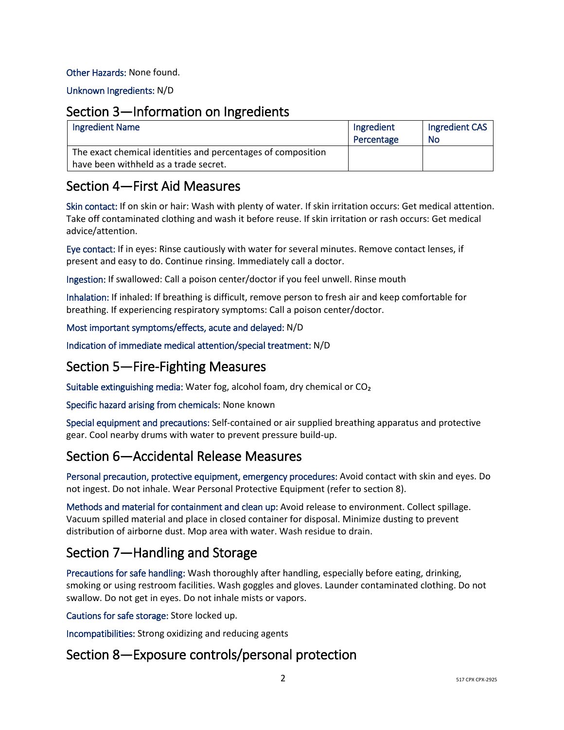#### Other Hazards: None found.

Unknown Ingredients: N/D

### Section 3—Information on Ingredients

| <b>Ingredient Name</b>                                                                                | Ingredient<br>Percentage | Ingredient CAS<br><b>No</b> |
|-------------------------------------------------------------------------------------------------------|--------------------------|-----------------------------|
| The exact chemical identities and percentages of composition<br>have been withheld as a trade secret. |                          |                             |

### Section 4—First Aid Measures

Skin contact: If on skin or hair: Wash with plenty of water. If skin irritation occurs: Get medical attention. Take off contaminated clothing and wash it before reuse. If skin irritation or rash occurs: Get medical advice/attention.

Eye contact: If in eyes: Rinse cautiously with water for several minutes. Remove contact lenses, if present and easy to do. Continue rinsing. Immediately call a doctor.

Ingestion: If swallowed: Call a poison center/doctor if you feel unwell. Rinse mouth

Inhalation: If inhaled: If breathing is difficult, remove person to fresh air and keep comfortable for breathing. If experiencing respiratory symptoms: Call a poison center/doctor.

### Most important symptoms/effects, acute and delayed: N/D

Indication of immediate medical attention/special treatment: N/D

# Section 5—Fire-Fighting Measures

Suitable extinguishing media: Water fog, alcohol foam, dry chemical or CO₂

Specific hazard arising from chemicals: None known

Special equipment and precautions: Self-contained or air supplied breathing apparatus and protective gear. Cool nearby drums with water to prevent pressure build-up.

# Section 6—Accidental Release Measures

Personal precaution, protective equipment, emergency procedures: Avoid contact with skin and eyes. Do not ingest. Do not inhale. Wear Personal Protective Equipment (refer to section 8).

Methods and material for containment and clean up: Avoid release to environment. Collect spillage. Vacuum spilled material and place in closed container for disposal. Minimize dusting to prevent distribution of airborne dust. Mop area with water. Wash residue to drain.

# Section 7—Handling and Storage

Precautions for safe handling: Wash thoroughly after handling, especially before eating, drinking, smoking or using restroom facilities. Wash goggles and gloves. Launder contaminated clothing. Do not swallow. Do not get in eyes. Do not inhale mists or vapors.

Cautions for safe storage: Store locked up.

Incompatibilities: Strong oxidizing and reducing agents

# Section 8—Exposure controls/personal protection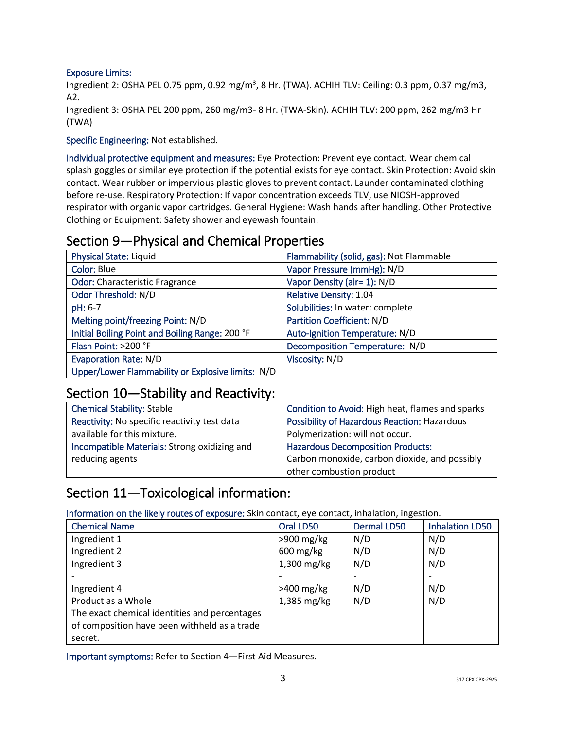#### Exposure Limits:

Ingredient 2: OSHA PEL 0.75 ppm, 0.92 mg/m<sup>3</sup>, 8 Hr. (TWA). ACHIH TLV: Ceiling: 0.3 ppm, 0.37 mg/m3, A2.

Ingredient 3: OSHA PEL 200 ppm, 260 mg/m3- 8 Hr. (TWA-Skin). ACHIH TLV: 200 ppm, 262 mg/m3 Hr (TWA)

Specific Engineering: Not established.

Individual protective equipment and measures: Eye Protection: Prevent eye contact. Wear chemical splash goggles or similar eye protection if the potential exists for eye contact. Skin Protection: Avoid skin contact. Wear rubber or impervious plastic gloves to prevent contact. Launder contaminated clothing before re-use. Respiratory Protection: If vapor concentration exceeds TLV, use NIOSH-approved respirator with organic vapor cartridges. General Hygiene: Wash hands after handling. Other Protective Clothing or Equipment: Safety shower and eyewash fountain.

### Section 9—Physical and Chemical Properties

| <b>Physical State: Liquid</b>                     | Flammability (solid, gas): Not Flammable |
|---------------------------------------------------|------------------------------------------|
| Color: Blue                                       | Vapor Pressure (mmHg): N/D               |
| <b>Odor: Characteristic Fragrance</b>             | Vapor Density (air= 1): N/D              |
| Odor Threshold: N/D                               | <b>Relative Density: 1.04</b>            |
| pH: 6-7                                           | Solubilities: In water: complete         |
| Melting point/freezing Point: N/D                 | <b>Partition Coefficient: N/D</b>        |
| Initial Boiling Point and Boiling Range: 200 °F   | Auto-Ignition Temperature: N/D           |
| Flash Point: >200 °F                              | Decomposition Temperature: N/D           |
| <b>Evaporation Rate: N/D</b>                      | Viscosity: N/D                           |
| Upper/Lower Flammability or Explosive limits: N/D |                                          |

# Section 10—Stability and Reactivity:

| <b>Chemical Stability: Stable</b>            | Condition to Avoid: High heat, flames and sparks    |
|----------------------------------------------|-----------------------------------------------------|
| Reactivity: No specific reactivity test data | <b>Possibility of Hazardous Reaction: Hazardous</b> |
| available for this mixture.                  | Polymerization: will not occur.                     |
| Incompatible Materials: Strong oxidizing and | <b>Hazardous Decomposition Products:</b>            |
| reducing agents                              | Carbon monoxide, carbon dioxide, and possibly       |
|                                              | other combustion product                            |

# Section 11—Toxicological information:

Information on the likely routes of exposure: Skin contact, eye contact, inhalation, ingestion.

| <b>Chemical Name</b>                          | Oral LD50              | <b>Dermal LD50</b> | <b>Inhalation LD50</b> |
|-----------------------------------------------|------------------------|--------------------|------------------------|
| Ingredient 1                                  | $>900$ mg/kg           | N/D                | N/D                    |
| Ingredient 2                                  | $600 \,\mathrm{mg/kg}$ | N/D                | N/D                    |
| Ingredient 3                                  | 1,300 mg/kg            | N/D                | N/D                    |
|                                               |                        |                    |                        |
| Ingredient 4                                  | $>400$ mg/kg           | N/D                | N/D                    |
| Product as a Whole                            | 1,385 mg/kg            | N/D                | N/D                    |
| The exact chemical identities and percentages |                        |                    |                        |
| of composition have been withheld as a trade  |                        |                    |                        |
| secret.                                       |                        |                    |                        |

Important symptoms: Refer to Section 4—First Aid Measures.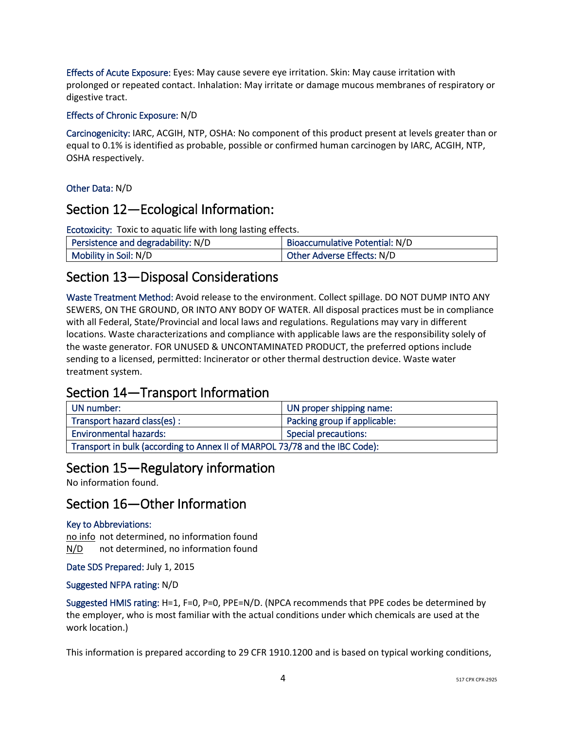Effects of Acute Exposure: Eyes: May cause severe eye irritation. Skin: May cause irritation with prolonged or repeated contact. Inhalation: May irritate or damage mucous membranes of respiratory or digestive tract.

#### Effects of Chronic Exposure: N/D

Carcinogenicity: IARC, ACGIH, NTP, OSHA: No component of this product present at levels greater than or equal to 0.1% is identified as probable, possible or confirmed human carcinogen by IARC, ACGIH, NTP, OSHA respectively.

### Other Data: N/D

### Section 12—Ecological Information:

Ecotoxicity: Toxic to aquatic life with long lasting effects.

| Persistence and degradability: N/D | Bioaccumulative Potential: N/D |
|------------------------------------|--------------------------------|
| Mobility in Soil: N/D              | Other Adverse Effects: N/D     |

### Section 13—Disposal Considerations

Waste Treatment Method: Avoid release to the environment. Collect spillage. DO NOT DUMP INTO ANY SEWERS, ON THE GROUND, OR INTO ANY BODY OF WATER. All disposal practices must be in compliance with all Federal, State/Provincial and local laws and regulations. Regulations may vary in different locations. Waste characterizations and compliance with applicable laws are the responsibility solely of the waste generator. FOR UNUSED & UNCONTAMINATED PRODUCT, the preferred options include sending to a licensed, permitted: Incinerator or other thermal destruction device. Waste water treatment system.

# Section 14—Transport Information

| UN number:                                                                  | UN proper shipping name:     |
|-----------------------------------------------------------------------------|------------------------------|
| Transport hazard class(es):                                                 | Packing group if applicable: |
| <b>Environmental hazards:</b>                                               | Special precautions:         |
| Transport in bulk (according to Annex II of MARPOL 73/78 and the IBC Code): |                              |

# Section 15—Regulatory information

No information found.

# Section 16—Other Information

### Key to Abbreviations:

no info not determined, no information found N/D not determined, no information found

Date SDS Prepared: July 1, 2015

### Suggested NFPA rating: N/D

Suggested HMIS rating: H=1, F=0, P=0, PPE=N/D. (NPCA recommends that PPE codes be determined by the employer, who is most familiar with the actual conditions under which chemicals are used at the work location.)

This information is prepared according to 29 CFR 1910.1200 and is based on typical working conditions,